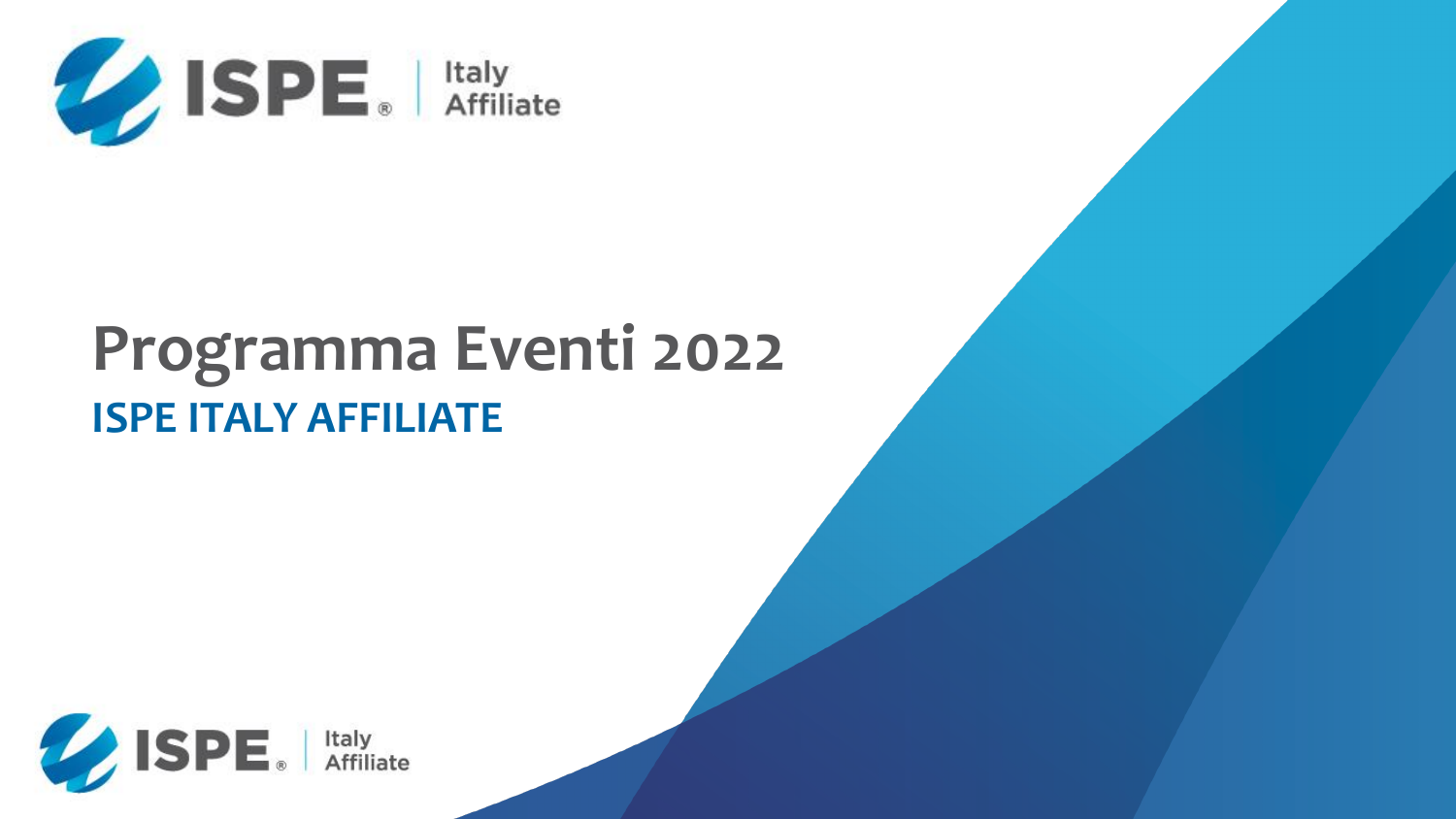

# **Programma Eventi 2022 ISPE ITALY AFFILIATE**



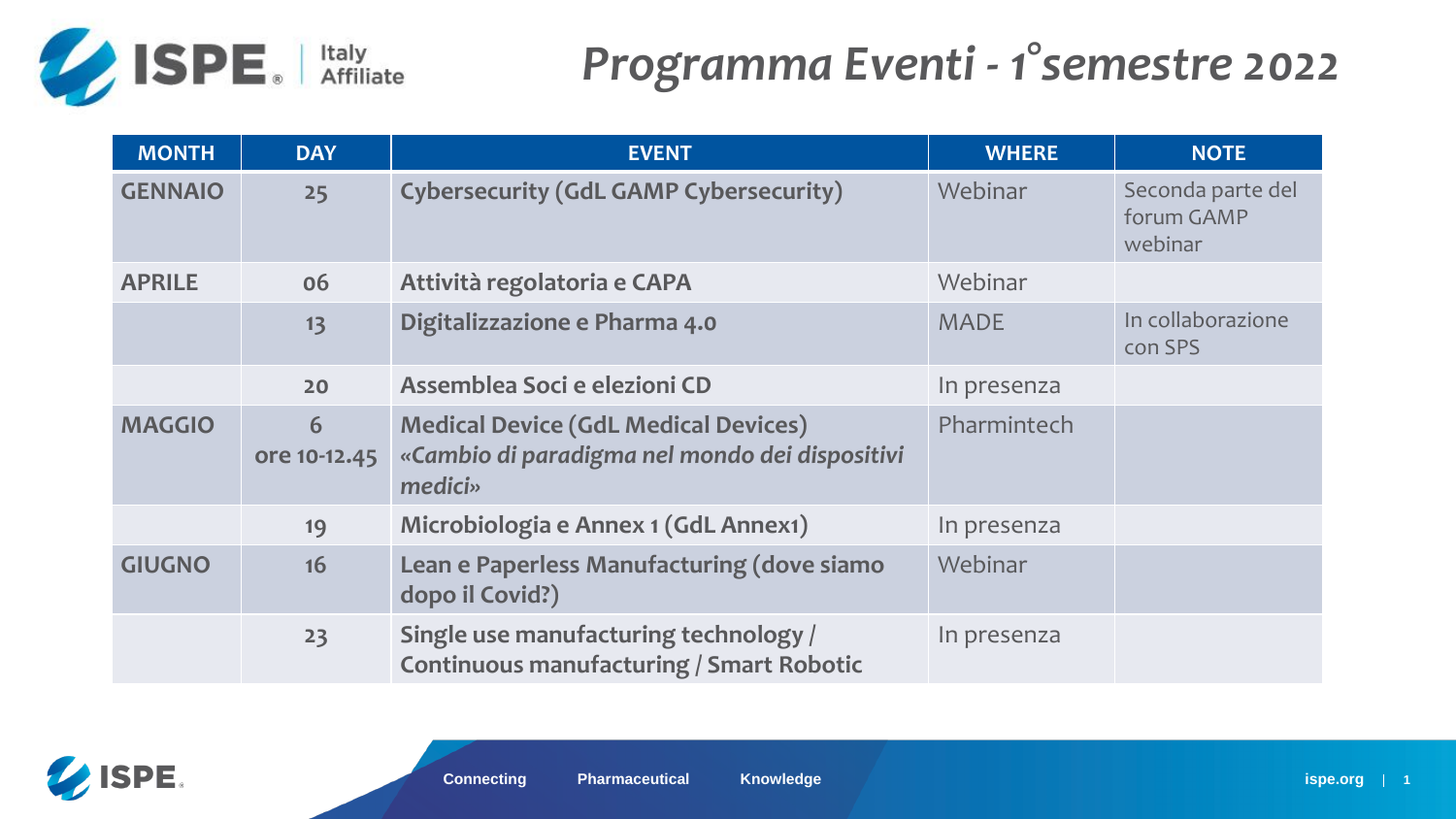$\epsilon$ econda parte del orum GAMP webinar

**1** collaborazione on SPS

| <b>MONTH</b>   | <b>DAY</b>        | <b>EVENT</b>                                                                                             | <b>WHERE</b> | <b>NOTE</b>                          |
|----------------|-------------------|----------------------------------------------------------------------------------------------------------|--------------|--------------------------------------|
| <b>GENNAIO</b> | 25                | <b>Cybersecurity (GdL GAMP Cybersecurity)</b>                                                            | Webinar      | Seconda par<br>forum GAMF<br>webinar |
| <b>APRILE</b>  | 06                | Attività regolatoria e CAPA                                                                              | Webinar      |                                      |
|                | 13                | Digitalizzazione e Pharma 4.0                                                                            | <b>MADE</b>  | In collaboraz<br>con SPS             |
|                | 20                | Assemblea Soci e elezioni CD                                                                             | In presenza  |                                      |
| <b>MAGGIO</b>  | 6<br>ore 10-12.45 | <b>Medical Device (GdL Medical Devices)</b><br>«Cambio di paradigma nel mondo dei dispositivi<br>medici» | Pharmintech  |                                      |
|                | 19                | Microbiologia e Annex 1 (GdL Annex1)                                                                     | In presenza  |                                      |
| <b>GIUGNO</b>  | 16                | Lean e Paperless Manufacturing (dove siamo<br>dopo il Covid?)                                            | Webinar      |                                      |
|                | 23                | Single use manufacturing technology /<br><b>Continuous manufacturing / Smart Robotic</b>                 | In presenza  |                                      |





## *Programma Eventi - 1°semestre 2022*

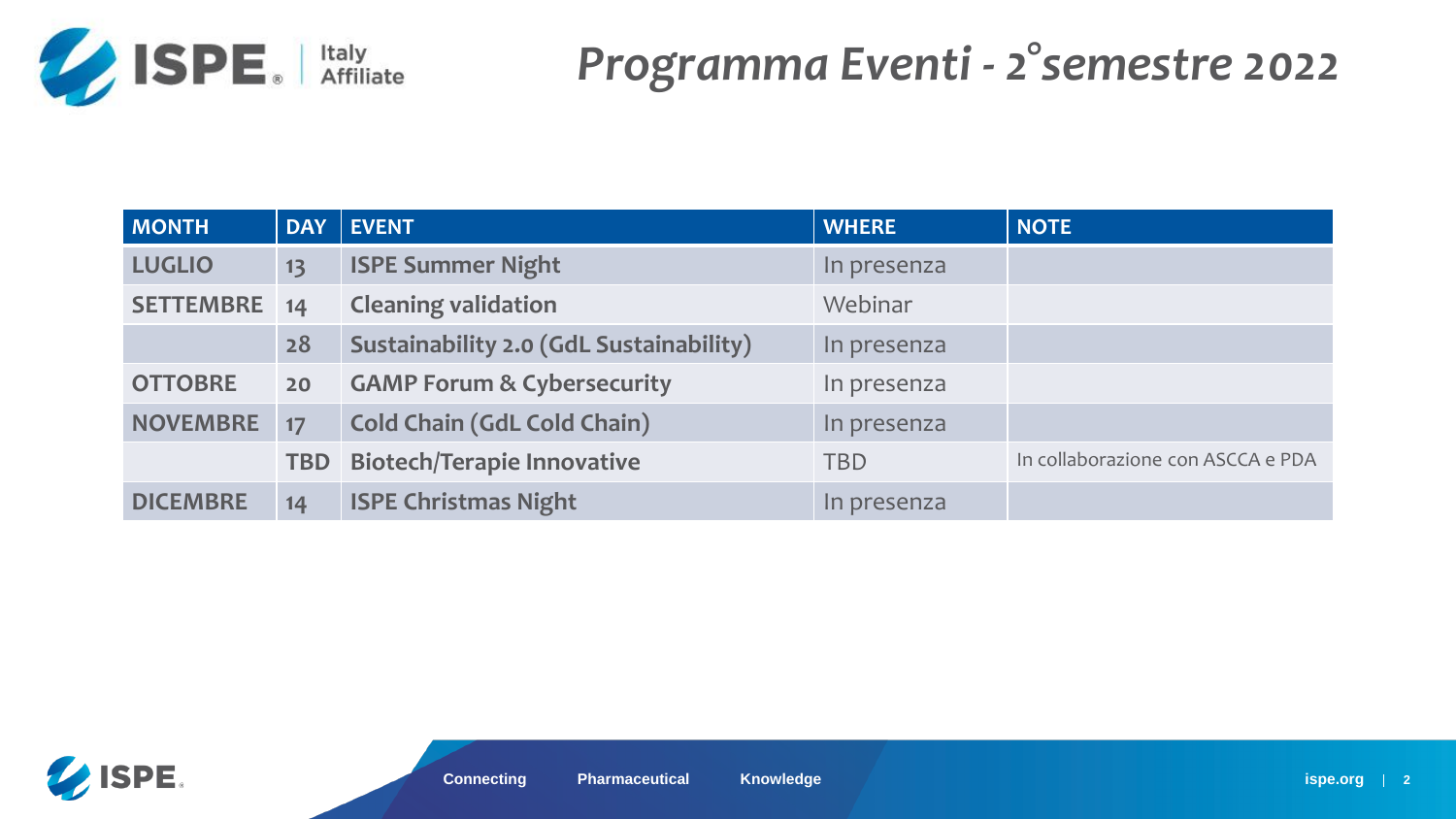

### *Programma Eventi - 2°semestre 2022*

| <b>MONTH</b>     | <b>DAY</b> | <b>EVENT</b>                                   | <b>WHERE</b> | <b>NOTE</b>     |
|------------------|------------|------------------------------------------------|--------------|-----------------|
| <b>LUGLIO</b>    | 13         | <b>ISPE Summer Night</b>                       | In presenza  |                 |
| <b>SETTEMBRE</b> | 14         | <b>Cleaning validation</b>                     | Webinar      |                 |
|                  | 28         | <b>Sustainability 2.0 (GdL Sustainability)</b> | In presenza  |                 |
| <b>OTTOBRE</b>   | 20         | <b>GAMP Forum &amp; Cybersecurity</b>          | In presenza  |                 |
| <b>NOVEMBRE</b>  | 17         | <b>Cold Chain (GdL Cold Chain)</b>             | In presenza  |                 |
|                  | <b>TBD</b> | <b>Biotech/Terapie Innovative</b>              | <b>TBD</b>   | In collaborazio |
| <b>DICEMBRE</b>  | 14         | <b>ISPE Christmas Night</b>                    | In presenza  |                 |



### **The Con ASCCA e PDA**

**ispe.org** | 2